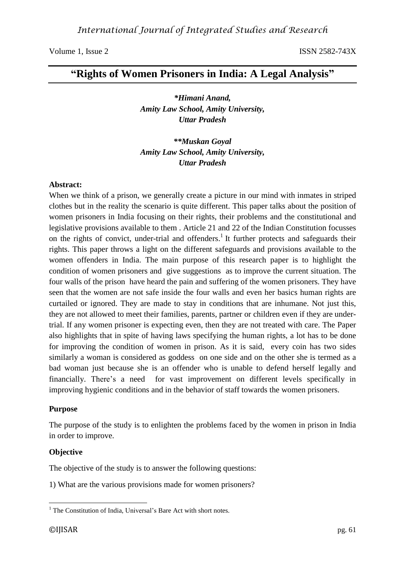# **"Rights of Women Prisoners in India: A Legal Analysis"**

*\*Himani Anand, Amity Law School, Amity University, Uttar Pradesh*

*\*\*Muskan Goyal Amity Law School, Amity University, Uttar Pradesh*

### **Abstract:**

When we think of a prison, we generally create a picture in our mind with inmates in striped clothes but in the reality the scenario is quite different. This paper talks about the position of women prisoners in India focusing on their rights, their problems and the constitutional and legislative provisions available to them . Article 21 and 22 of the Indian Constitution focusses on the rights of convict, under-trial and offenders.<sup>1</sup> It further protects and safeguards their rights. This paper throws a light on the different safeguards and provisions available to the women offenders in India. The main purpose of this research paper is to highlight the condition of women prisoners and give suggestions as to improve the current situation. The four walls of the prison have heard the pain and suffering of the women prisoners. They have seen that the women are not safe inside the four walls and even her basics human rights are curtailed or ignored. They are made to stay in conditions that are inhumane. Not just this, they are not allowed to meet their families, parents, partner or children even if they are undertrial. If any women prisoner is expecting even, then they are not treated with care. The Paper also highlights that in spite of having laws specifying the human rights, a lot has to be done for improving the condition of women in prison. As it is said, every coin has two sides similarly a woman is considered as goddess on one side and on the other she is termed as a bad woman just because she is an offender who is unable to defend herself legally and financially. There's a need for vast improvement on different levels specifically in improving hygienic conditions and in the behavior of staff towards the women prisoners.

### **Purpose**

The purpose of the study is to enlighten the problems faced by the women in prison in India in order to improve.

### **Objective**

The objective of the study is to answer the following questions:

1) What are the various provisions made for women prisoners?

 $\overline{a}$  $<sup>1</sup>$  The Constitution of India, Universal's Bare Act with short notes.</sup>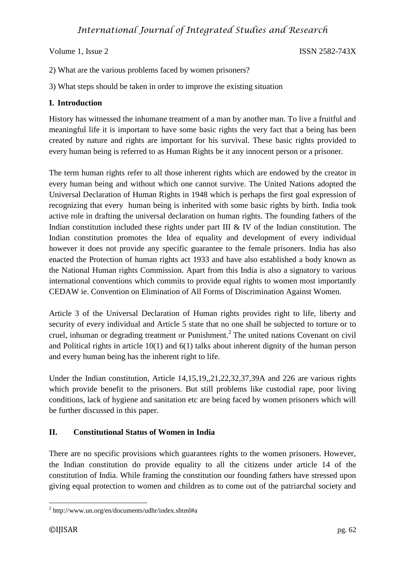# *International Journal of Integrated Studies and Research*

Volume 1, Issue 2 ISSN 2582-743X

2) What are the various problems faced by women prisoners?

3) What steps should be taken in order to improve the existing situation

### **I. Introduction**

History has witnessed the inhumane treatment of a man by another man. To live a fruitful and meaningful life it is important to have some basic rights the very fact that a being has been created by nature and rights are important for his survival. These basic rights provided to every human being is referred to as Human Rights be it any innocent person or a prisoner.

The term human rights refer to all those inherent rights which are endowed by the creator in every human being and without which one cannot survive. The United Nations adopted the Universal Declaration of Human Rights in 1948 which is perhaps the first goal expression of recognizing that every human being is inherited with some basic rights by birth. India took active role in drafting the universal declaration on human rights. The founding fathers of the Indian constitution included these rights under part III & IV of the Indian constitution. The Indian constitution promotes the Idea of equality and development of every individual however it does not provide any specific guarantee to the female prisoners. India has also enacted the Protection of human rights act 1933 and have also established a body known as the National Human rights Commission. Apart from this India is also a signatory to various international conventions which commits to provide equal rights to women most importantly CEDAW ie. Convention on Elimination of All Forms of Discrimination Against Women.

Article 3 of the Universal Declaration of Human rights provides right to life, liberty and security of every individual and Article 5 state that no one shall be subjected to torture or to cruel, inhuman or degrading treatment or Punishment.<sup>2</sup> The united nations Covenant on civil and Political rights in article 10(1) and 6(1) talks about inherent dignity of the human person and every human being has the inherent right to life.

Under the Indian constitution, Article 14,15,19,,21,22,32,37,39A and 226 are various rights which provide benefit to the prisoners. But still problems like custodial rape, poor living conditions, lack of hygiene and sanitation etc are being faced by women prisoners which will be further discussed in this paper.

### **II. Constitutional Status of Women in India**

There are no specific provisions which guarantees rights to the women prisoners. However, the Indian constitution do provide equality to all the citizens under article 14 of the constitution of India. While framing the constitution our founding fathers have stressed upon giving equal protection to women and children as to come out of the patriarchal society and

 2 http://www.un.org/en/documents/udhr/index.shtml#a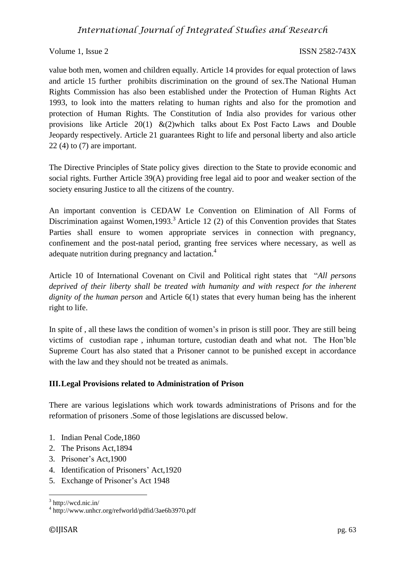value both men, women and children equally. Article 14 provides for equal protection of laws and article 15 further prohibits discrimination on the ground of sex.The National Human Rights Commission has also been established under the Protection of Human Rights Act 1993, to look into the matters relating to human rights and also for the promotion and protection of Human Rights. The Constitution of India also provides for various other provisions like Article 20(1)  $\&$  (2)which talks about Ex Post Facto Laws and Double Jeopardy respectively. Article 21 guarantees Right to life and personal liberty and also article  $22(4)$  to  $(7)$  are important.

The Directive Principles of State policy gives direction to the State to provide economic and social rights. Further Article 39(A) providing free legal aid to poor and weaker section of the society ensuring Justice to all the citizens of the country.

An important convention is CEDAW I.e Convention on Elimination of All Forms of Discrimination against Women,1993.<sup>3</sup> Article 12 (2) of this Convention provides that States Parties shall ensure to women appropriate services in connection with pregnancy, confinement and the post-natal period, granting free services where necessary, as well as adequate nutrition during pregnancy and lactation.<sup>4</sup>

Article 10 of International Covenant on Civil and Political right states that "*All persons deprived of their liberty shall be treated with humanity and with respect for the inherent dignity of the human person* and Article 6(1) states that every human being has the inherent right to life.

In spite of , all these laws the condition of women's in prison is still poor. They are still being victims of custodian rape , inhuman torture, custodian death and what not. The Hon'ble Supreme Court has also stated that a Prisoner cannot to be punished except in accordance with the law and they should not be treated as animals.

### **III.Legal Provisions related to Administration of Prison**

There are various legislations which work towards administrations of Prisons and for the reformation of prisoners .Some of those legislations are discussed below.

- 1. Indian Penal Code,1860
- 2. The Prisons Act,1894
- 3. Prisoner's Act,1900
- 4. Identification of Prisoners' Act,1920
- 5. Exchange of Prisoner's Act 1948

<sup>&</sup>lt;sup>3</sup> http://wcd.nic.in/

<sup>4</sup> http://www.unhcr.org/refworld/pdfid/3ae6b3970.pdf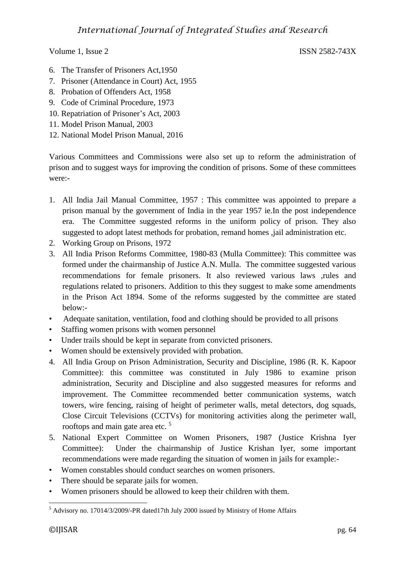- 6. The Transfer of Prisoners Act,1950
- 7. Prisoner (Attendance in Court) Act, 1955
- 8. Probation of Offenders Act, 1958
- 9. Code of Criminal Procedure, 1973
- 10. Repatriation of Prisoner's Act, 2003
- 11. Model Prison Manual, 2003
- 12. National Model Prison Manual, 2016

Various Committees and Commissions were also set up to reform the administration of prison and to suggest ways for improving the condition of prisons. Some of these committees were:-

- 1. All India Jail Manual Committee, 1957 : This committee was appointed to prepare a prison manual by the government of India in the year 1957 ie.In the post independence era. The Committee suggested reforms in the uniform policy of prison. They also suggested to adopt latest methods for probation, remand homes ,jail administration etc.
- 2. Working Group on Prisons, 1972
- 3. All India Prison Reforms Committee, 1980-83 (Mulla Committee): This committee was formed under the chairmanship of Justice A.N. Mulla. The committee suggested various recommendations for female prisoners. It also reviewed various laws ,rules and regulations related to prisoners. Addition to this they suggest to make some amendments in the Prison Act 1894. Some of the reforms suggested by the committee are stated below:-
- Adequate sanitation, ventilation, food and clothing should be provided to all prisons
- Staffing women prisons with women personnel
- Under trails should be kept in separate from convicted prisoners.
- Women should be extensively provided with probation.
- 4. All India Group on Prison Administration, Security and Discipline, 1986 (R. K. Kapoor Committee): this committee was constituted in July 1986 to examine prison administration, Security and Discipline and also suggested measures for reforms and improvement. The Committee recommended better communication systems, watch towers, wire fencing, raising of height of perimeter walls, metal detectors, dog squads, Close Circuit Televisions (CCTVs) for monitoring activities along the perimeter wall, rooftops and main gate area etc.<sup>5</sup>
- 5. National Expert Committee on Women Prisoners, 1987 (Justice Krishna Iyer Committee): Under the chairmanship of Justice Krishan Iyer, some important recommendations were made regarding the situation of women in jails for example:-
- Women constables should conduct searches on women prisoners.
- There should be separate jails for women.
- Women prisoners should be allowed to keep their children with them.

 $\overline{a}$  $<sup>5</sup>$  Advisory no. 17014/3/2009/-PR dated17th July 2000 issued by Ministry of Home Affairs</sup>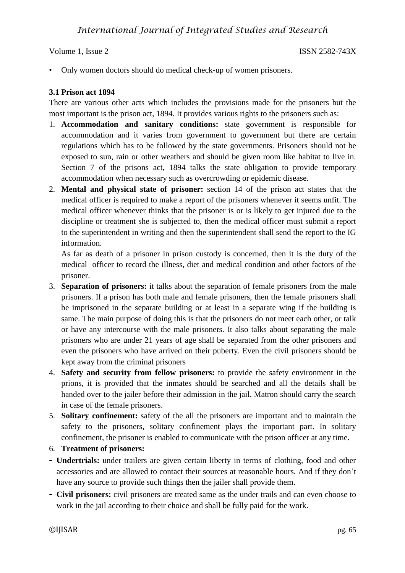• Only women doctors should do medical check-up of women prisoners.

### **3.1 Prison act 1894**

There are various other acts which includes the provisions made for the prisoners but the most important is the prison act, 1894. It provides various rights to the prisoners such as:

- 1. **Accommodation and sanitary conditions:** state government is responsible for accommodation and it varies from government to government but there are certain regulations which has to be followed by the state governments. Prisoners should not be exposed to sun, rain or other weathers and should be given room like habitat to live in. Section 7 of the prisons act, 1894 talks the state obligation to provide temporary accommodation when necessary such as overcrowding or epidemic disease.
- 2. **Mental and physical state of prisoner:** section 14 of the prison act states that the medical officer is required to make a report of the prisoners whenever it seems unfit. The medical officer whenever thinks that the prisoner is or is likely to get injured due to the discipline or treatment she is subjected to, then the medical officer must submit a report to the superintendent in writing and then the superintendent shall send the report to the IG information.

As far as death of a prisoner in prison custody is concerned, then it is the duty of the medical officer to record the illness, diet and medical condition and other factors of the prisoner.

- 3. **Separation of prisoners:** it talks about the separation of female prisoners from the male prisoners. If a prison has both male and female prisoners, then the female prisoners shall be imprisoned in the separate building or at least in a separate wing if the building is same. The main purpose of doing this is that the prisoners do not meet each other, or talk or have any intercourse with the male prisoners. It also talks about separating the male prisoners who are under 21 years of age shall be separated from the other prisoners and even the prisoners who have arrived on their puberty. Even the civil prisoners should be kept away from the criminal prisoners
- 4. **Safety and security from fellow prisoners:** to provide the safety environment in the prions, it is provided that the inmates should be searched and all the details shall be handed over to the jailer before their admission in the jail. Matron should carry the search in case of the female prisoners.
- 5. **Solitary confinement:** safety of the all the prisoners are important and to maintain the safety to the prisoners, solitary confinement plays the important part. In solitary confinement, the prisoner is enabled to communicate with the prison officer at any time.
- 6. **Treatment of prisoners:**
- **Undertrials:** under trailers are given certain liberty in terms of clothing, food and other accessories and are allowed to contact their sources at reasonable hours. And if they don't have any source to provide such things then the jailer shall provide them.
- **Civil prisoners:** civil prisoners are treated same as the under trails and can even choose to work in the jail according to their choice and shall be fully paid for the work.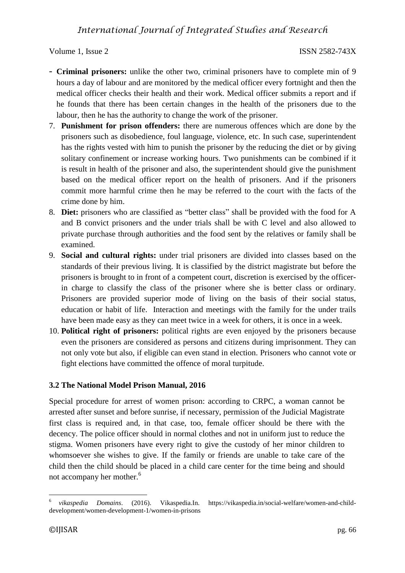- **Criminal prisoners:** unlike the other two, criminal prisoners have to complete min of 9 hours a day of labour and are monitored by the medical officer every fortnight and then the medical officer checks their health and their work. Medical officer submits a report and if he founds that there has been certain changes in the health of the prisoners due to the labour, then he has the authority to change the work of the prisoner.
- 7. **Punishment for prison offenders:** there are numerous offences which are done by the prisoners such as disobedience, foul language, violence, etc. In such case, superintendent has the rights vested with him to punish the prisoner by the reducing the diet or by giving solitary confinement or increase working hours. Two punishments can be combined if it is result in health of the prisoner and also, the superintendent should give the punishment based on the medical officer report on the health of prisoners. And if the prisoners commit more harmful crime then he may be referred to the court with the facts of the crime done by him.
- 8. **Diet:** prisoners who are classified as "better class" shall be provided with the food for A and B convict prisoners and the under trials shall be with C level and also allowed to private purchase through authorities and the food sent by the relatives or family shall be examined.
- 9. **Social and cultural rights:** under trial prisoners are divided into classes based on the standards of their previous living. It is classified by the district magistrate but before the prisoners is brought to in front of a competent court, discretion is exercised by the officerin charge to classify the class of the prisoner where she is better class or ordinary. Prisoners are provided superior mode of living on the basis of their social status, education or habit of life. Interaction and meetings with the family for the under trails have been made easy as they can meet twice in a week for others, it is once in a week.
- 10. **Political right of prisoners:** political rights are even enjoyed by the prisoners because even the prisoners are considered as persons and citizens during imprisonment. They can not only vote but also, if eligible can even stand in election. Prisoners who cannot vote or fight elections have committed the offence of moral turpitude.

# **3.2 The National Model Prison Manual, 2016**

Special procedure for arrest of women prison: according to CRPC, a woman cannot be arrested after sunset and before sunrise, if necessary, permission of the Judicial Magistrate first class is required and, in that case, too, female officer should be there with the decency. The police officer should in normal clothes and not in uniform just to reduce the stigma. Women prisoners have every right to give the custody of her minor children to whomsoever she wishes to give. If the family or friends are unable to take care of the child then the child should be placed in a child care center for the time being and should not accompany her mother.<sup>6</sup>

<sup>6</sup> *vikaspedia Domains*. (2016). Vikaspedia.In. [https://vikaspedia.in/social-welfare/women-and-child](https://vikaspedia.in/social-welfare/women-and-child-development/women-development-1/women-in-prisons)[development/women-development-1/women-in-prisons](https://vikaspedia.in/social-welfare/women-and-child-development/women-development-1/women-in-prisons)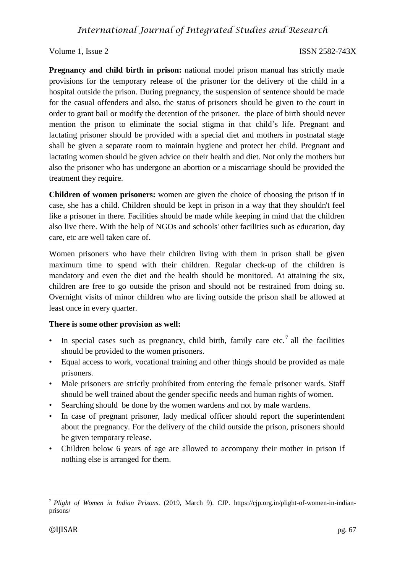**Pregnancy and child birth in prison:** national model prison manual has strictly made provisions for the temporary release of the prisoner for the delivery of the child in a hospital outside the prison. During pregnancy, the suspension of sentence should be made for the casual offenders and also, the status of prisoners should be given to the court in order to grant bail or modify the detention of the prisoner. the place of birth should never mention the prison to eliminate the social stigma in that child's life. Pregnant and lactating prisoner should be provided with a special diet and mothers in postnatal stage shall be given a separate room to maintain hygiene and protect her child. Pregnant and lactating women should be given advice on their health and diet. Not only the mothers but also the prisoner who has undergone an abortion or a miscarriage should be provided the treatment they require.

**Children of women prisoners:** women are given the choice of choosing the prison if in case, she has a child. Children should be kept in prison in a way that they shouldn't feel like a prisoner in there. Facilities should be made while keeping in mind that the children also live there. With the help of NGOs and schools' other facilities such as education, day care, etc are well taken care of.

Women prisoners who have their children living with them in prison shall be given maximum time to spend with their children. Regular check-up of the children is mandatory and even the diet and the health should be monitored. At attaining the six, children are free to go outside the prison and should not be restrained from doing so. Overnight visits of minor children who are living outside the prison shall be allowed at least once in every quarter.

### **There is some other provision as well:**

- In special cases such as pregnancy, child birth, family care etc.<sup>7</sup> all the facilities should be provided to the women prisoners.
- Equal access to work, vocational training and other things should be provided as male prisoners.
- Male prisoners are strictly prohibited from entering the female prisoner wards. Staff should be well trained about the gender specific needs and human rights of women.
- Searching should be done by the women wardens and not by male wardens.
- In case of pregnant prisoner, lady medical officer should report the superintendent about the pregnancy. For the delivery of the child outside the prison, prisoners should be given temporary release.
- Children below 6 years of age are allowed to accompany their mother in prison if nothing else is arranged for them.

<sup>7</sup> *Plight of Women in Indian Prisons*. (2019, March 9). CJP. [https://cjp.org.in/plight-of-women-in-indian](https://cjp.org.in/plight-of-women-in-indian-prisons/)[prisons/](https://cjp.org.in/plight-of-women-in-indian-prisons/)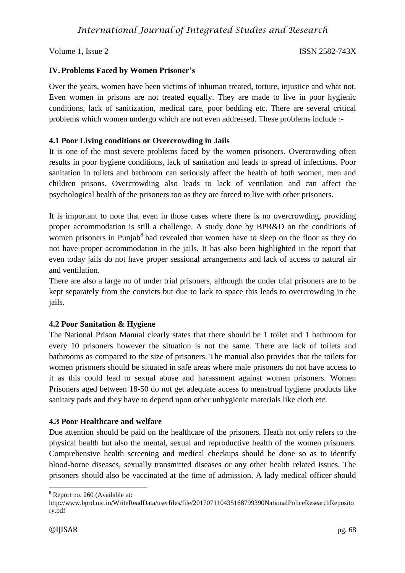## **IV.Problems Faced by Women Prisoner's**

Over the years, women have been victims of inhuman treated, torture, injustice and what not. Even women in prisons are not treated equally. They are made to live in poor hygienic conditions, lack of sanitization, medical care, poor bedding etc. There are several critical problems which women undergo which are not even addressed. These problems include :-

### **4.1 Poor Living conditions or Overcrowding in Jails**

It is one of the most severe problems faced by the women prisoners. Overcrowding often results in poor hygiene conditions, lack of sanitation and leads to spread of infections. Poor sanitation in toilets and bathroom can seriously affect the health of both women, men and children prisons. Overcrowding also leads to lack of ventilation and can affect the psychological health of the prisoners too as they are forced to live with other prisoners.

It is important to note that even in those cases where there is no overcrowding, providing proper accommodation is still a challenge. A study done by BPR&D on the conditions of women prisoners in Punjab<sup>8</sup> had revealed that women have to sleep on the floor as they do not have proper accommodation in the jails. It has also been highlighted in the report that even today jails do not have proper sessional arrangements and lack of access to natural air and ventilation.

There are also a large no of under trial prisoners, although the under trial prisoners are to be kept separately from the convicts but due to lack to space this leads to overcrowding in the jails.

### **4.2 Poor Sanitation & Hygiene**

The National Prison Manual clearly states that there should be 1 toilet and 1 bathroom for every 10 prisoners however the situation is not the same. There are lack of toilets and bathrooms as compared to the size of prisoners. The manual also provides that the toilets for women prisoners should be situated in safe areas where male prisoners do not have access to it as this could lead to sexual abuse and harassment against women prisoners. Women Prisoners aged between 18-50 do not get adequate access to menstrual hygiene products like sanitary pads and they have to depend upon other unhygienic materials like cloth etc.

### **4.3 Poor Healthcare and welfare**

Due attention should be paid on the healthcare of the prisoners. Heath not only refers to the physical health but also the mental, sexual and reproductive health of the women prisoners. Comprehensive health screening and medical checkups should be done so as to identify blood-borne diseases, sexually transmitted diseases or any other health related issues. The prisoners should also be vaccinated at the time of admission. A lady medical officer should

<sup>8</sup> Report no. 260 (Available at:

http://www.bprd.nic.in/WriteReadData/userfiles/file/201707110435168799390NationalPoliceResearchReposito ry.pdf